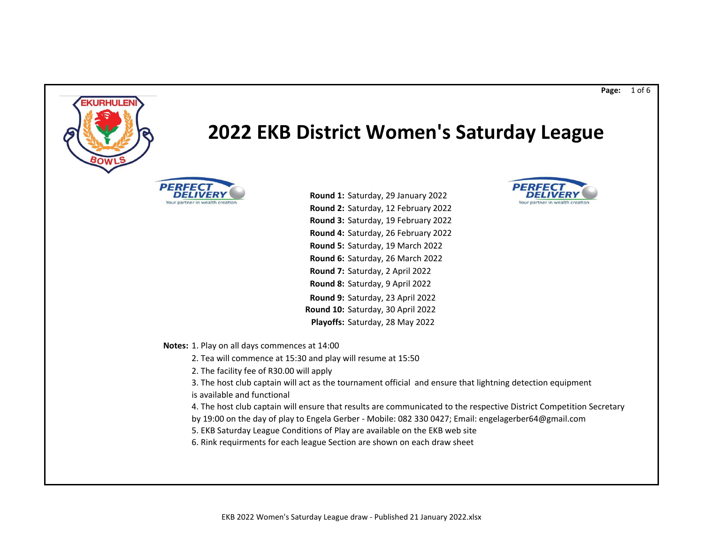

3. The host club captain will act as the tournament official and ensure that lightning detection equipment is available and functional

4. The host club captain will ensure that results are communicated to the respective District Competition Secretary

by 19:00 on the day of play to Engela Gerber - Mobile: 082 330 0427; Email: engelagerber64@gmail.com

5. EKB Saturday League Conditions of Play are available on the EKB web site

6. Rink requirments for each league Section are shown on each draw sheet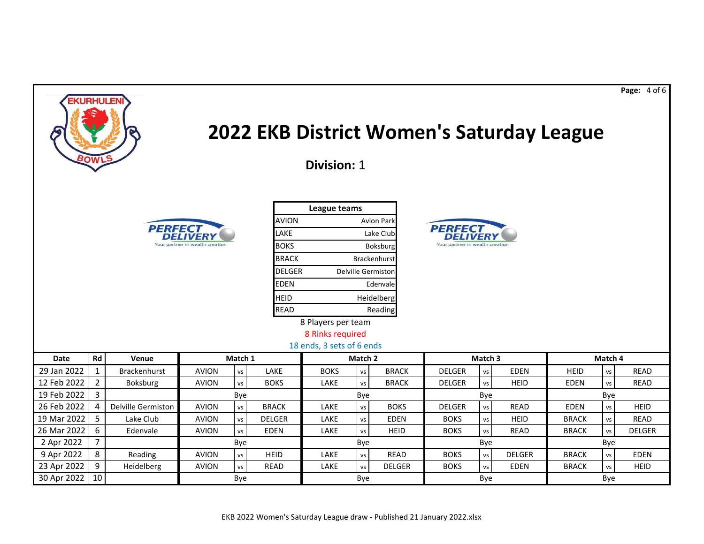| <b>EKURHULEN</b><br>2022 EKB District Women's Saturday League<br><b>2OW</b><br>Division: 1                                                                                                                                                                                                                                                                                                                     |                                                                                                                                                  |                     |              |         |               |                                      |           |               |               |                    |               |              |     | Page: 4 of 6 |
|----------------------------------------------------------------------------------------------------------------------------------------------------------------------------------------------------------------------------------------------------------------------------------------------------------------------------------------------------------------------------------------------------------------|--------------------------------------------------------------------------------------------------------------------------------------------------|---------------------|--------------|---------|---------------|--------------------------------------|-----------|---------------|---------------|--------------------|---------------|--------------|-----|--------------|
| League teams<br><b>AVION</b><br>Avion Park<br><b>PERFECT</b><br><b>PERFECT</b><br>LAKE<br>Lake Club<br>Your partner in wealth creation<br>Your partner in wealth creation<br><b>BOKS</b><br>Boksburg<br><b>BRACK</b><br>Brackenhurst<br><b>DELGER</b><br><b>Delville Germiston</b><br><b>EDEN</b><br>Edenvale<br><b>HEID</b><br>Heidelberg<br><b>READ</b><br>Reading<br>8 Players per team<br>8 Rinks required |                                                                                                                                                  |                     |              |         |               |                                      |           |               |               |                    |               |              |     |              |
| Date                                                                                                                                                                                                                                                                                                                                                                                                           | Rd                                                                                                                                               | Venue               |              | Match 1 |               | 18 ends, 3 sets of 6 ends<br>Match 2 |           |               |               | Match <sub>3</sub> | Match 4       |              |     |              |
| 29 Jan 2022                                                                                                                                                                                                                                                                                                                                                                                                    | $\mathbf{1}$                                                                                                                                     | <b>Brackenhurst</b> | <b>AVION</b> | vs      | LAKE          | <b>BOKS</b>                          | VS        | <b>BRACK</b>  | <b>DELGER</b> | vs                 | <b>EDEN</b>   | <b>HEID</b>  | vs  | <b>READ</b>  |
| 12 Feb 2022                                                                                                                                                                                                                                                                                                                                                                                                    | $\overline{2}$                                                                                                                                   | Boksburg            | <b>AVION</b> | vs      | <b>BOKS</b>   | LAKE                                 | <b>VS</b> | <b>BRACK</b>  | <b>DELGER</b> | vs                 | <b>HEID</b>   | <b>EDEN</b>  | vs  | <b>READ</b>  |
| 19 Feb 2022                                                                                                                                                                                                                                                                                                                                                                                                    | $\mathbf{3}$                                                                                                                                     |                     |              | Bye     |               |                                      | Bye       |               | Bye           |                    |               | Bye          |     |              |
| 26 Feb 2022                                                                                                                                                                                                                                                                                                                                                                                                    | 4                                                                                                                                                | Delville Germiston  | <b>AVION</b> | VS      | <b>BRACK</b>  | LAKE                                 | vs        | <b>BOKS</b>   | <b>DELGER</b> | vs                 | <b>READ</b>   | <b>EDEN</b>  | vs  | <b>HEID</b>  |
| 19 Mar 2022                                                                                                                                                                                                                                                                                                                                                                                                    | 5                                                                                                                                                | Lake Club           | <b>AVION</b> | vs      | <b>DELGER</b> | LAKE                                 | <b>VS</b> | <b>EDEN</b>   | <b>BOKS</b>   | vs                 | <b>HEID</b>   | <b>BRACK</b> | vs  | READ         |
| 26 Mar 2022                                                                                                                                                                                                                                                                                                                                                                                                    | 6<br><b>AVION</b><br><b>EDEN</b><br>LAKE<br><b>HEID</b><br><b>BOKS</b><br><b>READ</b><br><b>BRACK</b><br>Edenvale<br>vs<br>vs<br><b>VS</b><br>vs |                     |              |         |               |                                      |           |               |               |                    | <b>DELGER</b> |              |     |              |
| 2 Apr 2022                                                                                                                                                                                                                                                                                                                                                                                                     | $\overline{7}$                                                                                                                                   |                     |              | Bye     |               |                                      | Bye       |               |               | Bye                |               |              | Bye |              |
| 9 Apr 2022                                                                                                                                                                                                                                                                                                                                                                                                     | 8                                                                                                                                                | Reading             | <b>AVION</b> | vs      | <b>HEID</b>   | LAKE                                 | vs        | <b>READ</b>   | <b>BOKS</b>   | vs                 | <b>DELGER</b> | <b>BRACK</b> | vs  | <b>EDEN</b>  |
| 23 Apr 2022                                                                                                                                                                                                                                                                                                                                                                                                    | 9                                                                                                                                                | Heidelberg          | <b>AVION</b> | vs      | <b>READ</b>   | LAKE                                 | vs        | <b>DELGER</b> | <b>BOKS</b>   | vs                 | <b>EDEN</b>   | <b>BRACK</b> | vs  | <b>HEID</b>  |
| 30 Apr 2022                                                                                                                                                                                                                                                                                                                                                                                                    | 10<br>Bye<br>Bye<br>Bye<br>Bye                                                                                                                   |                     |              |         |               |                                      |           |               |               |                    |               |              |     |              |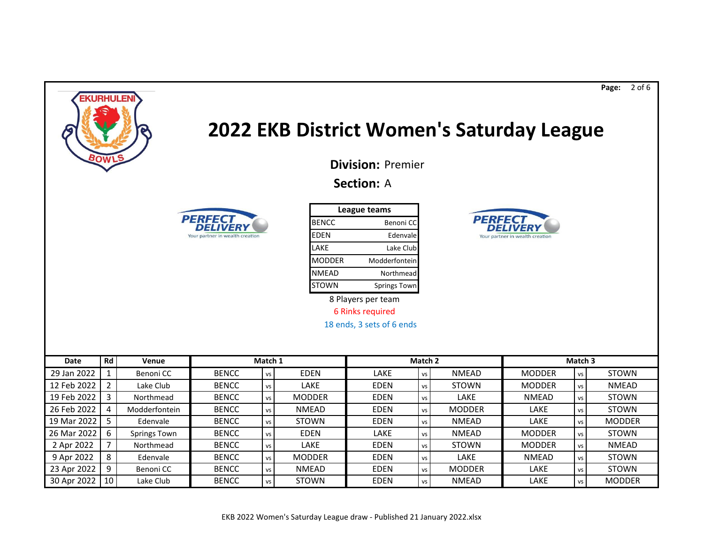

## **2022 EKB District Women's Saturday League**

**PERF** 

*DELIVER* 

Your partner in wealth creation

**Page:** 2 of 6

**Division:** Premier

## **Section:** A



| League teams  |                     |  |  |  |  |  |  |  |  |  |
|---------------|---------------------|--|--|--|--|--|--|--|--|--|
| <b>BENCC</b>  | Benoni CC           |  |  |  |  |  |  |  |  |  |
| <b>EDEN</b>   | Edenvale            |  |  |  |  |  |  |  |  |  |
| LAKE          | Lake Club           |  |  |  |  |  |  |  |  |  |
| <b>MODDER</b> | Modderfontein       |  |  |  |  |  |  |  |  |  |
| <b>NMEAD</b>  | Northmead           |  |  |  |  |  |  |  |  |  |
| <b>STOWN</b>  | <b>Springs Town</b> |  |  |  |  |  |  |  |  |  |

8 Players per team

6 Rinks required

18 ends, 3 sets of 6 ends

| Date        | Rd | Venue               | Match 1      |           |               | Match 2     |      | Match <sub>3</sub> |               |           |               |  |
|-------------|----|---------------------|--------------|-----------|---------------|-------------|------|--------------------|---------------|-----------|---------------|--|
| 29 Jan 2022 |    | Benoni CC           | <b>BENCC</b> | <b>VS</b> | <b>EDEN</b>   | LAKE        | vs   | <b>NMEAD</b>       | <b>MODDER</b> | VS        | <b>STOWN</b>  |  |
| 12 Feb 2022 |    | Lake Club           | <b>BENCC</b> | <b>VS</b> | LAKE          | <b>EDEN</b> | vs   | <b>STOWN</b>       | <b>MODDER</b> | vs        | <b>NMEAD</b>  |  |
| 19 Feb 2022 |    | Northmead           | <b>BENCC</b> | <b>VS</b> | <b>MODDER</b> | <b>EDEN</b> | vs l | LAKE               | <b>NMEAD</b>  | <b>VS</b> | <b>STOWN</b>  |  |
| 26 Feb 2022 |    | Modderfontein       | <b>BENCC</b> | VS        | <b>NMEAD</b>  | <b>EDEN</b> | vs   | <b>MODDER</b>      | LAKE          | <b>VS</b> | <b>STOWN</b>  |  |
| 19 Mar 2022 |    | Edenvale            | <b>BENCC</b> | <b>VS</b> | <b>STOWN</b>  | <b>EDEN</b> | vs   | <b>NMEAD</b>       | LAKE          | VS        | <b>MODDER</b> |  |
| 26 Mar 2022 | 6  | <b>Springs Town</b> | <b>BENCC</b> | VS        | <b>EDEN</b>   | LAKE        | vs   | <b>NMEAD</b>       | <b>MODDER</b> | VS        | <b>STOWN</b>  |  |
| 2 Apr 2022  |    | Northmead           | <b>BENCC</b> | <b>VS</b> | LAKE          | <b>EDEN</b> | vs   | <b>STOWN</b>       | <b>MODDER</b> | VS        | <b>NMEAD</b>  |  |
| 9 Apr 2022  | 8  | Edenvale            | <b>BENCC</b> | <b>VS</b> | <b>MODDER</b> | <b>EDEN</b> | vs l | <b>LAKE</b>        | <b>NMEAD</b>  | VS        | <b>STOWN</b>  |  |
| 23 Apr 2022 | 9  | Benoni CC           | <b>BENCC</b> | <b>VS</b> | <b>NMEAD</b>  | <b>EDEN</b> | vs   | <b>MODDER</b>      | LAKE          | VS        | <b>STOWN</b>  |  |
| 30 Apr 2022 | 10 | Lake Club           | <b>BENCC</b> | VS I      | <b>STOWN</b>  | <b>EDEN</b> | vs   | <b>NMEAD</b>       | LAKE          | VS        | <b>MODDER</b> |  |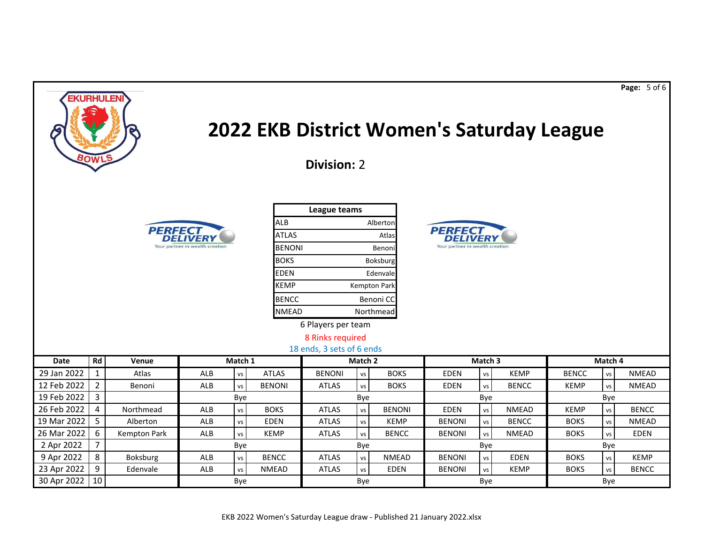| <b>EKURHULEN</b><br>2022 EKB District Women's Saturday League<br><b>¤OW</b><br><b>Division: 2</b> |                     |                                 |            |                        |               |                    |           |                                 |               |           |              |              |           | Page: 5 of 6 |
|---------------------------------------------------------------------------------------------------|---------------------|---------------------------------|------------|------------------------|---------------|--------------------|-----------|---------------------------------|---------------|-----------|--------------|--------------|-----------|--------------|
| League teams                                                                                      |                     |                                 |            |                        |               |                    |           |                                 |               |           |              |              |           |              |
|                                                                                                   |                     |                                 |            |                        | <b>ALB</b>    |                    |           | Alberton                        |               |           |              |              |           |              |
|                                                                                                   |                     | <b>PERFEC</b>                   |            |                        | <b>ATLAS</b>  |                    |           | Atlas                           | <b>PERFEC</b> |           |              |              |           |              |
|                                                                                                   |                     | Your partner in wealth creation |            | <b>BENONI</b><br>Benon |               |                    |           | Your partner in wealth creation |               |           |              |              |           |              |
| <b>BOKS</b><br>Boksburg                                                                           |                     |                                 |            |                        |               |                    |           |                                 |               |           |              |              |           |              |
|                                                                                                   |                     |                                 |            |                        | <b>EDEN</b>   |                    | Edenvale  |                                 |               |           |              |              |           |              |
|                                                                                                   |                     |                                 |            |                        | <b>KEMP</b>   |                    |           | <b>Kempton Park</b>             |               |           |              |              |           |              |
|                                                                                                   |                     |                                 |            |                        | <b>BENCC</b>  |                    |           | Benoni CC                       |               |           |              |              |           |              |
|                                                                                                   |                     |                                 |            |                        | <b>NMEAD</b>  |                    | Northmead |                                 |               |           |              |              |           |              |
|                                                                                                   |                     |                                 |            |                        |               | 6 Players per team |           |                                 |               |           |              |              |           |              |
|                                                                                                   |                     |                                 |            |                        |               | 8 Rinks required   |           |                                 |               |           |              |              |           |              |
| 18 ends, 3 sets of 6 ends                                                                         |                     |                                 |            |                        |               |                    |           |                                 |               |           |              |              |           |              |
| <b>Date</b>                                                                                       | <b>Rd</b>           | Venue                           |            | Match 1                |               |                    | Match 2   |                                 |               | Match 3   |              |              | Match 4   |              |
| 29 Jan 2022                                                                                       | $\mathbf{1}$        | Atlas                           | ALB        | vs                     | <b>ATLAS</b>  | <b>BENONI</b>      | <b>VS</b> | <b>BOKS</b>                     | <b>EDEN</b>   | vs        | <b>KEMP</b>  | <b>BENCC</b> | VS        | <b>NMEAD</b> |
| 12 Feb 2022                                                                                       | $\overline{2}$      | Benoni                          | <b>ALB</b> | vs                     | <b>BENONI</b> | <b>ATLAS</b>       | <b>VS</b> | <b>BOKS</b>                     | <b>EDEN</b>   | vs<br>Bye | <b>BENCC</b> | <b>KEMP</b>  | <b>VS</b> | <b>NMEAD</b> |
| 19 Feb 2022                                                                                       | $\mathbf{3}$        |                                 |            | Bye                    |               |                    | Bye       |                                 |               |           | Bye          |              |           |              |
| 26 Feb 2022                                                                                       | 4                   | Northmead                       | ALB        | VS                     | <b>BOKS</b>   | <b>ATLAS</b>       | vs        | <b>BENONI</b>                   | <b>EDEN</b>   | vs        | <b>NMEAD</b> | <b>KEMP</b>  | VS        | <b>BENCC</b> |
| 19 Mar 2022                                                                                       | 5                   | Alberton                        | ALB        | vs                     | <b>EDEN</b>   | <b>ATLAS</b>       | vs        | <b>KEMP</b>                     | <b>BENONI</b> | vs        | <b>BENCC</b> | <b>BOKS</b>  | <b>VS</b> | <b>NMEAD</b> |
| 26 Mar 2022                                                                                       | 6<br>$\overline{7}$ | Kempton Park                    | <b>ALB</b> | vs                     | <b>KEMP</b>   | <b>ATLAS</b>       | vs        | <b>BENCC</b>                    | <b>BENONI</b> | vs        | <b>NMEAD</b> | <b>BOKS</b>  | <b>VS</b> | <b>EDEN</b>  |
| 2 Apr 2022<br>9 Apr 2022                                                                          | 8                   | Boksburg                        | ALB        | Bye                    | <b>BENCC</b>  | <b>ATLAS</b>       | Bye       | <b>NMEAD</b>                    | <b>BENONI</b> | Bye<br>vs | <b>EDEN</b>  | <b>BOKS</b>  | Bye<br>vs | <b>KEMP</b>  |
| 23 Apr 2022                                                                                       | 9                   | Edenvale                        | <b>ALB</b> | VS<br><b>VS</b>        | <b>NMEAD</b>  | <b>ATLAS</b>       | vs<br>vs  | <b>EDEN</b>                     | <b>BENONI</b> | <b>VS</b> | <b>KEMP</b>  | <b>BOKS</b>  | <b>VS</b> | <b>BENCC</b> |
| 30 Apr 2022                                                                                       | 10                  |                                 |            | Bye                    |               |                    | Bye       |                                 |               | Bye       |              |              | Bye       |              |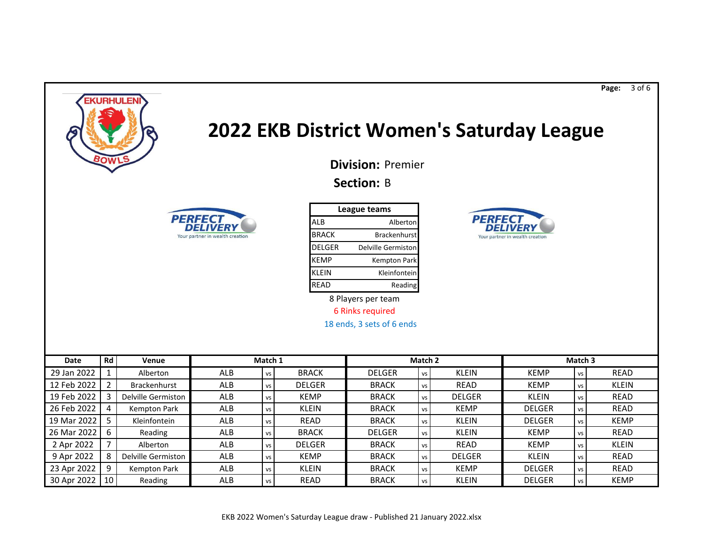